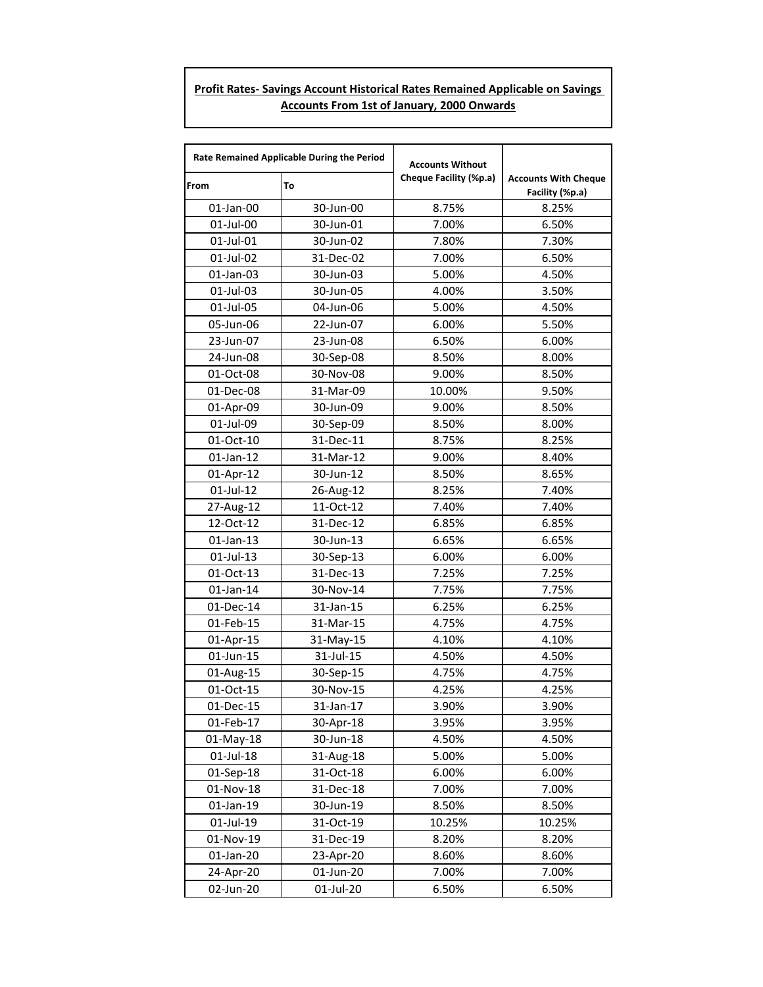## **Profit Rates- Savings Account Historical Rates Remained Applicable on Savings Accounts From 1st of January, 2000 Onwards**

| Rate Remained Applicable During the Period |           | <b>Accounts Without</b> |                                                |
|--------------------------------------------|-----------|-------------------------|------------------------------------------------|
| <b>From</b>                                | To        | Cheque Facility (%p.a)  | <b>Accounts With Cheque</b><br>Facility (%p.a) |
| 01-Jan-00                                  | 30-Jun-00 | 8.75%                   | 8.25%                                          |
| 01-Jul-00                                  | 30-Jun-01 | 7.00%                   | 6.50%                                          |
| 01-Jul-01                                  | 30-Jun-02 | 7.80%                   | 7.30%                                          |
| 01-Jul-02                                  | 31-Dec-02 | 7.00%                   | 6.50%                                          |
| 01-Jan-03                                  | 30-Jun-03 | 5.00%                   | 4.50%                                          |
| 01-Jul-03                                  | 30-Jun-05 | 4.00%                   | 3.50%                                          |
| 01-Jul-05                                  | 04-Jun-06 | 5.00%                   | 4.50%                                          |
| 05-Jun-06                                  | 22-Jun-07 | 6.00%                   | 5.50%                                          |
| 23-Jun-07                                  | 23-Jun-08 | 6.50%                   | 6.00%                                          |
| 24-Jun-08                                  | 30-Sep-08 | 8.50%                   | 8.00%                                          |
| 01-Oct-08                                  | 30-Nov-08 | 9.00%                   | 8.50%                                          |
| 01-Dec-08                                  | 31-Mar-09 | 10.00%                  | 9.50%                                          |
| 01-Apr-09                                  | 30-Jun-09 | 9.00%                   | 8.50%                                          |
| 01-Jul-09                                  | 30-Sep-09 | 8.50%                   | 8.00%                                          |
| 01-Oct-10                                  | 31-Dec-11 | 8.75%                   | 8.25%                                          |
| $01$ -Jan-12                               | 31-Mar-12 | 9.00%                   | 8.40%                                          |
| 01-Apr-12                                  | 30-Jun-12 | 8.50%                   | 8.65%                                          |
| 01-Jul-12                                  | 26-Aug-12 | 8.25%                   | 7.40%                                          |
| 27-Aug-12                                  | 11-Oct-12 | 7.40%                   | 7.40%                                          |
| 12-Oct-12                                  | 31-Dec-12 | 6.85%                   | 6.85%                                          |
| $01$ -Jan-13                               | 30-Jun-13 | 6.65%                   | 6.65%                                          |
| 01-Jul-13                                  | 30-Sep-13 | 6.00%                   | 6.00%                                          |
| 01-Oct-13                                  | 31-Dec-13 | 7.25%                   | 7.25%                                          |
| 01-Jan-14                                  | 30-Nov-14 | 7.75%                   | 7.75%                                          |
| 01-Dec-14                                  | 31-Jan-15 | 6.25%                   | 6.25%                                          |
| 01-Feb-15                                  | 31-Mar-15 | 4.75%                   | 4.75%                                          |
| 01-Apr-15                                  | 31-May-15 | 4.10%                   | 4.10%                                          |
| 01-Jun-15                                  | 31-Jul-15 | 4.50%                   | 4.50%                                          |
| 01-Aug-15                                  | 30-Sep-15 | 4.75%                   | 4.75%                                          |
| 01-Oct-15                                  | 30-Nov-15 | 4.25%                   | 4.25%                                          |
| 01-Dec-15                                  | 31-Jan-17 | 3.90%                   | 3.90%                                          |
| 01-Feb-17                                  | 30-Apr-18 | 3.95%                   | 3.95%                                          |
| 01-May-18                                  | 30-Jun-18 | 4.50%                   | 4.50%                                          |
| 01-Jul-18                                  | 31-Aug-18 | 5.00%                   | 5.00%                                          |
| 01-Sep-18                                  | 31-Oct-18 | 6.00%                   | 6.00%                                          |
| 01-Nov-18                                  | 31-Dec-18 | 7.00%                   | 7.00%                                          |
| 01-Jan-19                                  | 30-Jun-19 | 8.50%                   | 8.50%                                          |
| 01-Jul-19                                  | 31-Oct-19 | 10.25%                  | 10.25%                                         |
| 01-Nov-19                                  | 31-Dec-19 | 8.20%                   | 8.20%                                          |
| 01-Jan-20                                  | 23-Apr-20 | 8.60%                   | 8.60%                                          |
| 24-Apr-20                                  | 01-Jun-20 | 7.00%                   | 7.00%                                          |
| 02-Jun-20                                  | 01-Jul-20 | 6.50%                   | 6.50%                                          |